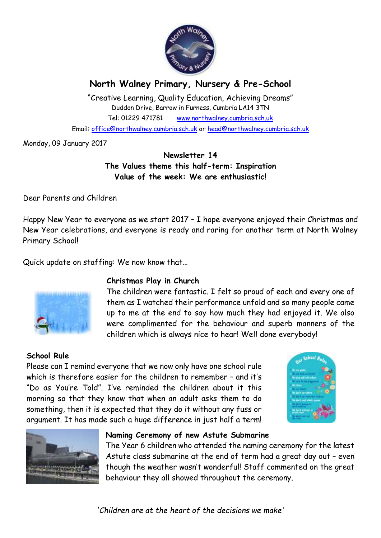

# **North Walney Primary, Nursery & Pre-School**

"Creative Learning, Quality Education, Achieving Dreams" Duddon Drive, Barrow in Furness, Cumbria LA14 3TN Tel: 01229 471781 www.northwalney.cumbria.sch.uk Email: office@northwalney.cumbria.sch.uk or head@northwalney.cumbria.sch.uk

Monday, 09 January 2017

# **Newsletter 14 The Values theme this half-term: Inspiration Value of the week: We are enthusiastic!**

Dear Parents and Children

Happy New Year to everyone as we start 2017 – I hope everyone enjoyed their Christmas and New Year celebrations, and everyone is ready and raring for another term at North Walney Primary School!

Quick update on staffing: We now know that…



## **Christmas Play in Church**

The children were fantastic. I felt so proud of each and every one of them as I watched their performance unfold and so many people came up to me at the end to say how much they had enjoyed it. We also were complimented for the behaviour and superb manners of the children which is always nice to hear! Well done everybody!

## **School Rule**

Please can I remind everyone that we now only have one school rule which is therefore easier for the children to remember – and it's "Do as You're Told". I've reminded the children about it this morning so that they know that when an adult asks them to do something, then it is expected that they do it without any fuss or argument. It has made such a huge difference in just half a term!





## **Naming Ceremony of new Astute Submarine**

The Year 6 children who attended the naming ceremony for the latest Astute class submarine at the end of term had a great day out – even though the weather wasn't wonderful! Staff commented on the great behaviour they all showed throughout the ceremony.

*'Children are at the heart of the decisions we make'*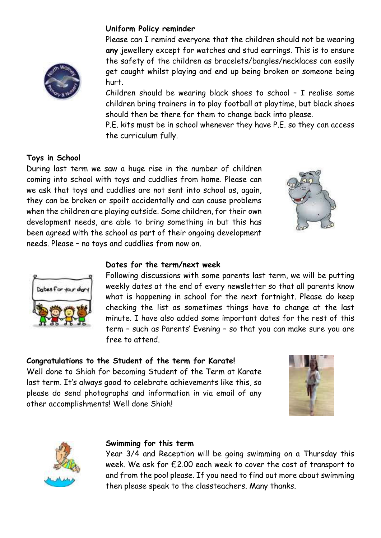# **Uniform Policy reminder**

Please can I remind everyone that the children should not be wearing **any** jewellery except for watches and stud earrings. This is to ensure the safety of the children as bracelets/bangles/necklaces can easily get caught whilst playing and end up being broken or someone being hurt.

Children should be wearing black shoes to school – I realise some children bring trainers in to play football at playtime, but black shoes should then be there for them to change back into please.

P.E. kits must be in school whenever they have P.E. so they can access the curriculum fully.

## **Toys in School**

During last term we saw a huge rise in the number of children coming into school with toys and cuddlies from home. Please can we ask that toys and cuddlies are not sent into school as, again, they can be broken or spoilt accidentally and can cause problems when the children are playing outside. Some children, for their own development needs, are able to bring something in but this has been agreed with the school as part of their ongoing development needs. Please – no toys and cuddlies from now on.





#### **Dates for the term/next week**

Following discussions with some parents last term, we will be putting weekly dates at the end of every newsletter so that all parents know what is happening in school for the next fortnight. Please do keep checking the list as sometimes things have to change at the last minute. I have also added some important dates for the rest of this term – such as Parents' Evening – so that you can make sure you are free to attend.

#### **Congratulations to the Student of the term for Karate!**

Well done to Shiah for becoming Student of the Term at Karate last term. It's always good to celebrate achievements like this, so please do send photographs and information in via email of any other accomplishments! Well done Shiah!





#### **Swimming for this term**

Year 3/4 and Reception will be going swimming on a Thursday this week. We ask for £2.00 each week to cover the cost of transport to and from the pool please. If you need to find out more about swimming then please speak to the classteachers. Many thanks.

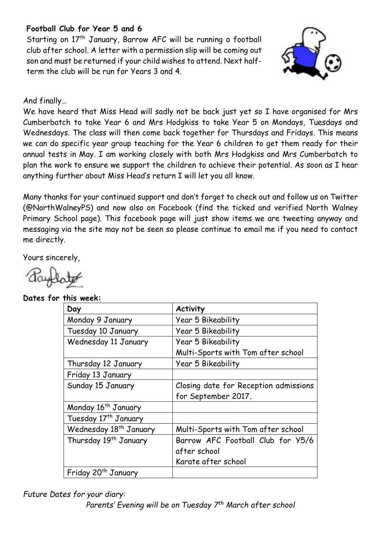# **Football Club for Year 5 and 6**

Starting on 17<sup>th</sup> January, Barrow AFC will be running a football club after school. A letter with a permission slip will be coming out son and must be returned if your child wishes to attend. Next halfterm the club will be run for Years 3 and 4.



And finally…

We have heard that Miss Head will sadly not be back just yet so I have organised for Mrs Cumberbatch to take Year 6 and Mrs Hodgkiss to take Year 5 on Mondays, Tuesdays and Wednesdays. The class will then come back together for Thursdays and Fridays. This means we can do specific year group teaching for the Year 6 children to get them ready for their annual tests in May. I am working closely with both Mrs Hodgkiss and Mrs Cumberbatch to plan the work to ensure we support the children to achieve their potential. As soon as I hear anything further about Miss Head's return I will let you all know.

Many thanks for your continued support and don't forget to check out and follow us on Twitter (@NorthWalneyPS) and now also on Facebook (find the ticked and verified North Walney Primary School page). This facebook page will just show items we are tweeting anyway and messaging via the site may not be seen so please continue to email me if you need to contact me directly.

Yours sincerely,

**Dates for this week:** 

| Day                                | <b>Activity</b>                       |
|------------------------------------|---------------------------------------|
| Monday 9 January                   | Year 5 Bikeability                    |
| Tuesday 10 January                 | Year 5 Bikeability                    |
| Wednesday 11 January               | Year 5 Bikeability                    |
|                                    | Multi-Sports with Tom after school    |
| Thursday 12 January                | Year 5 Bikeability                    |
| Friday 13 January                  |                                       |
| Sunday 15 January                  | Closing date for Reception admissions |
|                                    | for September 2017.                   |
| Monday 16 <sup>th</sup> January    |                                       |
| Tuesday 17 <sup>th</sup> January   |                                       |
| Wednesday 18 <sup>th</sup> January | Multi-Sports with Tom after school    |
| Thursday 19th January              | Barrow AFC Football Club for Y5/6     |
|                                    | after school                          |
|                                    | Karate after school                   |
| Friday 20 <sup>th</sup> January    |                                       |

*Future Dates for your diary:* 

*Parents' Evening will be on Tuesday 7th March after school*